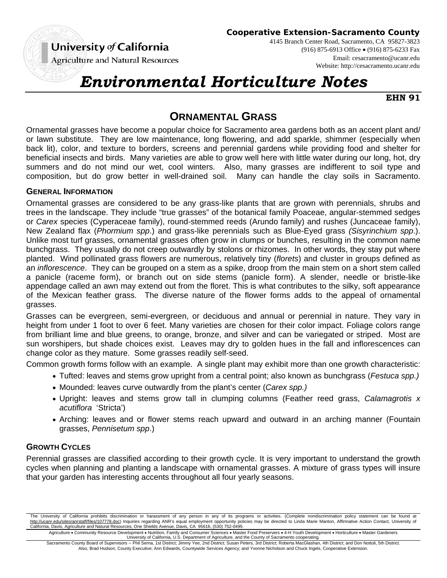# University of California

**Cooperative Extension-Sacramento County**

**Agriculture and Natural Resources** 

4145 Branch Center Road, Sacramento, CA 95827-3823 (916) 875-6913 Office (916) 875-6233 Fax Email: cesacramento@ucanr.edu Website: http://cesacramento.ucanr.edu

# *Environmental Horticulture Notes*

**EHN 91**

# **ORNAMENTAL GRASS**

Ornamental grasses have become a popular choice for Sacramento area gardens both as an accent plant and/ or lawn substitute. They are low maintenance, long flowering, and add sparkle, shimmer (especially when back lit), color, and texture to borders, screens and perennial gardens while providing food and shelter for beneficial insects and birds. Many varieties are able to grow well here with little water during our long, hot, dry summers and do not mind our wet, cool winters. Also, many grasses are indifferent to soil type and composition, but do grow better in well-drained soil. Many can handle the clay soils in Sacramento.

#### **GENERAL INFORMATION**

Ornamental grasses are considered to be any grass-like plants that are grown with perennials, shrubs and trees in the landscape. They include "true grasses" of the botanical family Poaceae, angular-stemmed sedges or *Carex* species (Cyperaceae family), round-stemmed reeds (Arundo family) and rushes (Juncaceae family), New Zealand flax (*Phormium spp*.) and grass-like perennials such as Blue-Eyed grass *(Sisyrinchium spp*.). Unlike most turf grasses, ornamental grasses often grow in clumps or bunches, resulting in the common name bunchgrass. They usually do not creep outwardly by stolons or rhizomes. In other words, they stay put where planted. Wind pollinated grass flowers are numerous, relatively tiny (*florets*) and cluster in groups defined as an *inflorescence*. They can be grouped on a stem as a spike, droop from the main stem on a short stem called a panicle (raceme form), or branch out on side stems (panicle form). A slender, needle or bristle-like appendage called an awn may extend out from the floret. This is what contributes to the silky, soft appearance of the Mexican feather grass. The diverse nature of the flower forms adds to the appeal of ornamental grasses.

Grasses can be evergreen, semi-evergreen, or deciduous and annual or perennial in nature. They vary in height from under 1 foot to over 6 feet. Many varieties are chosen for their color impact. Foliage colors range from brilliant lime and blue greens, to orange, bronze, and silver and can be variegated or striped. Most are sun worshipers, but shade choices exist. Leaves may dry to golden hues in the fall and inflorescences can change color as they mature. Some grasses readily self-seed.

Common growth forms follow with an example. A single plant may exhibit more than one growth characteristic:

- Tufted: leaves and stems grow upright from a central point; also known as bunchgrass (*Festuca spp.)*
- Mounded: leaves curve outwardly from the plant's center (*Carex spp.)*
- Upright: leaves and stems grow tall in clumping columns (Feather reed grass, *Calamagrotis x acutiflora* 'Stricta')
- Arching: leaves and or flower stems reach upward and outward in an arching manner (Fountain grasses, *Pennisetum spp*.)

#### **GROWTH CYCLES**

Perennial grasses are classified according to their growth cycle. It is very important to understand the growth cycles when planning and planting a landscape with ornamental grasses. A mixture of grass types will insure that your garden has interesting accents throughout all four yearly seasons.

The University of California prohibits discrimination or harassment of any person in any of its programs or activities. (Complete nondiscrimination policy statement can be found at http://ucanr.edu/sites/anrstaff/files/107778.doc) Inquiries regarding ANR's equal employment opportunity policies may be directed to Linda Marie Manton, Affirmative Action Contact, University of California, Davis, Agriculture and Natural Resources, One Shields Avenue, Davis, CA 95616, (530) 752-0495

Agriculture • Community Resource Development • Nutrition, Family and Consumer Sciences • Master Food Preservers • 4-H Youth Development • Horticulture • Master Gardeners<br>University of California, U.S. Department of Agricu

Sacramento County Board of Supervisors -- Phil Serna, 1st District; Jimmy Yee, 2nd District; Susan Peters, 3rd District; Roberta MacGlashan, 4th District; and Don Nottoli, 5th District. Also, Brad Hudson, County Executive; Ann Edwards, Countywide Services Agency; and Yvonne Nicholson and Chuck Ingels, Cooperative Extension.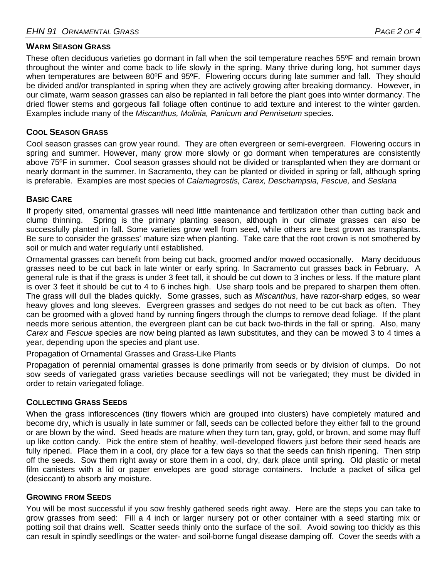#### **WARM SEASON GRASS**

These often deciduous varieties go dormant in fall when the soil temperature reaches 55°F and remain brown throughout the winter and come back to life slowly in the spring. Many thrive during long, hot summer days when temperatures are between 80°F and 95°F. Flowering occurs during late summer and fall. They should be divided and/or transplanted in spring when they are actively growing after breaking dormancy. However, in our climate, warm season grasses can also be replanted in fall before the plant goes into winter dormancy. The dried flower stems and gorgeous fall foliage often continue to add texture and interest to the winter garden. Examples include many of the *Miscanthus, Molinia, Panicum and Pennisetum* species.

## **COOL SEASON GRASS**

Cool season grasses can grow year round. They are often evergreen or semi-evergreen. Flowering occurs in spring and summer. However, many grow more slowly or go dormant when temperatures are consistently above 75ºF in summer. Cool season grasses should not be divided or transplanted when they are dormant or nearly dormant in the summer. In Sacramento, they can be planted or divided in spring or fall, although spring is preferable. Examples are most species of *Calamagrostis, Carex, Deschampsia, Fescue,* and *Seslaria*

#### **BASIC CARE**

If properly sited, ornamental grasses will need little maintenance and fertilization other than cutting back and clump thinning. Spring is the primary planting season, although in our climate grasses can also be successfully planted in fall. Some varieties grow well from seed, while others are best grown as transplants. Be sure to consider the grasses' mature size when planting. Take care that the root crown is not smothered by soil or mulch and water regularly until established.

Ornamental grasses can benefit from being cut back, groomed and/or mowed occasionally. Many deciduous grasses need to be cut back in late winter or early spring. In Sacramento cut grasses back in February. A general rule is that if the grass is under 3 feet tall, it should be cut down to 3 inches or less. If the mature plant is over 3 feet it should be cut to 4 to 6 inches high. Use sharp tools and be prepared to sharpen them often. The grass will dull the blades quickly. Some grasses, such as *Miscanthus*, have razor-sharp edges, so wear heavy gloves and long sleeves. Evergreen grasses and sedges do not need to be cut back as often. They can be groomed with a gloved hand by running fingers through the clumps to remove dead foliage. If the plant needs more serious attention, the evergreen plant can be cut back two-thirds in the fall or spring. Also, many *Carex* and *Fescue* species are now being planted as lawn substitutes, and they can be mowed 3 to 4 times a year, depending upon the species and plant use.

Propagation of Ornamental Grasses and Grass-Like Plants

Propagation of perennial ornamental grasses is done primarily from seeds or by division of clumps. Do not sow seeds of variegated grass varieties because seedlings will not be variegated; they must be divided in order to retain variegated foliage.

#### **COLLECTING GRASS SEEDS**

When the grass inflorescences (tiny flowers which are grouped into clusters) have completely matured and become dry, which is usually in late summer or fall, seeds can be collected before they either fall to the ground or are blown by the wind. Seed heads are mature when they turn tan, gray, gold, or brown, and some may fluff up like cotton candy. Pick the entire stem of healthy, well-developed flowers just before their seed heads are fully ripened. Place them in a cool, dry place for a few days so that the seeds can finish ripening. Then strip off the seeds. Sow them right away or store them in a cool, dry, dark place until spring. Old plastic or metal film canisters with a lid or paper envelopes are good storage containers. Include a packet of silica gel (desiccant) to absorb any moisture.

#### **GROWING FROM SEEDS**

You will be most successful if you sow freshly gathered seeds right away. Here are the steps you can take to grow grasses from seed: Fill a 4 inch or larger nursery pot or other container with a seed starting mix or potting soil that drains well. Scatter seeds thinly onto the surface of the soil. Avoid sowing too thickly as this can result in spindly seedlings or the water- and soil-borne fungal disease damping off. Cover the seeds with a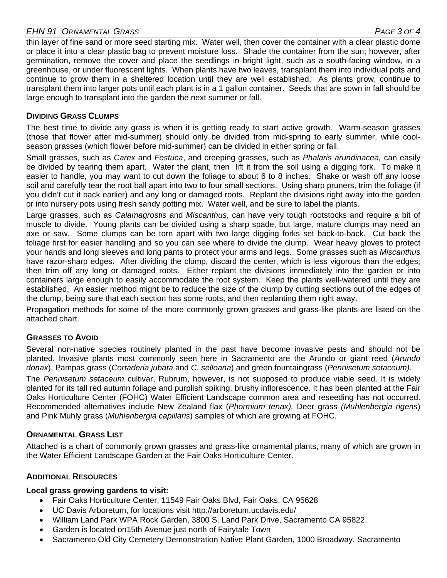# *EHN 91 ORNAMENTAL GRASS PAGE 3 OF 4*

thin layer of fine sand or more seed starting mix. Water well, then cover the container with a clear plastic dome or place it into a clear plastic bag to prevent moisture loss. Shade the container from the sun; however, after germination, remove the cover and place the seedlings in bright light, such as a south-facing window, in a greenhouse, or under fluorescent lights. When plants have two leaves, transplant them into individual pots and continue to grow them in a sheltered location until they are well established. As plants grow, continue to transplant them into larger pots until each plant is in a 1 gallon container. Seeds that are sown in fall should be large enough to transplant into the garden the next summer or fall.

### **DIVIDING GRASS CLUMPS**

The best time to divide any grass is when it is getting ready to start active growth. Warm-season grasses (those that flower after mid-summer) should only be divided from mid-spring to early summer, while coolseason grasses (which flower before mid-summer) can be divided in either spring or fall.

Small grasses, such as *Carex* and *Festuca*, and creeping grasses, such as *Phalaris arundinacea,* can easily be divided by tearing them apart. Water the plant, then lift it from the soil using a digging fork. To make it easier to handle, you may want to cut down the foliage to about 6 to 8 inches. Shake or wash off any loose soil and carefully tear the root ball apart into two to four small sections. Using sharp pruners, trim the foliage (if you didn't cut it back earlier) and any long or damaged roots. Replant the divisions right away into the garden or into nursery pots using fresh sandy potting mix. Water well, and be sure to label the plants.

Large grasses, such as *Calamagrostis* and *Miscanthus*, can have very tough rootstocks and require a bit of muscle to divide. Young plants can be divided using a sharp spade, but large, mature clumps may need an axe or saw. Some clumps can be torn apart with two large digging forks set back-to-back. Cut back the foliage first for easier handling and so you can see where to divide the clump. Wear heavy gloves to protect your hands and long sleeves and long pants to protect your arms and legs. Some grasses such as *Miscanthus* have razor-sharp edges. After dividing the clump, discard the center, which is less vigorous than the edges; then trim off any long or damaged roots. Either replant the divisions immediately into the garden or into containers large enough to easily accommodate the root system. Keep the plants well-watered until they are established. An easier method might be to reduce the size of the clump by cutting sections out of the edges of the clump, being sure that each section has some roots, and then replanting them right away.

Propagation methods for some of the more commonly grown grasses and grass-like plants are listed on the attached chart.

#### **GRASSES TO AVOID**

Several non-native species routinely planted in the past have become invasive pests and should not be planted. Invasive plants most commonly seen here in Sacramento are the Arundo or giant reed (*Arundo donax*), Pampas grass (*Cortaderia jubata* and *C. selloana*) and green fountaingrass (*Pennisetum setaceum).* 

The *Pennisetum setaceum* cultivar, Rubrum, however, is not supposed to produce viable seed. It is widely planted for its tall red autumn foliage and purplish spiking, brushy inflorescence. It has been planted at the Fair Oaks Horticulture Center (FOHC) Water Efficient Landscape common area and reseeding has not occurred. Recommended alternatives include New Zealand flax (*Phormium tenax),* Deer grass *(Muhlenbergia rigens*) and Pink Muhly grass (*Muhlenbergia capillaris*) samples of which are growing at FOHC.

#### **ORNAMENTAL GRASS LIST**

Attached is a chart of commonly grown grasses and grass-like ornamental plants, many of which are grown in the Water Efficient Landscape Garden at the Fair Oaks Horticulture Center.

#### **ADDITIONAL RESOURCES**

#### **Local grass growing gardens to visit:**

- Fair Oaks Horticulture Center, 11549 Fair Oaks Blvd, Fair Oaks, CA 95628
- UC Davis Arboretum, for locations visit http://arboretum.ucdavis.edu/
- William Land Park WPA Rock Garden, 3800 S. Land Park Drive, Sacramento CA 95822.
- Garden is located on15th Avenue just north of Fairytale Town
- Sacramento Old City Cemetery Demonstration Native Plant Garden, 1000 Broadway, Sacramento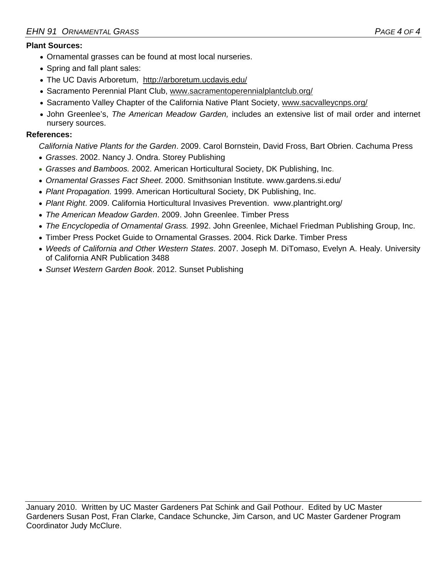## **Plant Sources:**

- Ornamental grasses can be found at most local nurseries.
- Spring and fall plant sales:
- The UC Davis Arboretum, http://arboretum.ucdavis.edu/
- Sacramento Perennial Plant Club, www.sacramentoperennialplantclub.org/
- Sacramento Valley Chapter of the California Native Plant Society, www.sacvalleycnps.org/
- John Greenlee's, *The American Meadow Garden,* includes an extensive list of mail order and internet nursery sources.

## **References:**

*California Native Plants for the Garden*. 2009. Carol Bornstein, David Fross, Bart Obrien. Cachuma Press

- *Grasses*. 2002. Nancy J. Ondra. Storey Publishing
- *Grasses and Bamboos.* 2002. American Horticultural Society, DK Publishing, Inc.
- *Ornamental Grasses Fact Sheet*. 2000. Smithsonian Institute. www.gardens.si.edu/
- *Plant Propagation.* 1999. American Horticultural Society, DK Publishing, Inc.
- *Plant Right*. 2009. California Horticultural Invasives Prevention. www.plantright.org/
- *The American Meadow Garden*. 2009. John Greenlee. Timber Press
- *The Encyclopedia of Ornamental Grass. 1*992. John Greenlee, Michael Friedman Publishing Group, Inc.
- Timber Press Pocket Guide to Ornamental Grasses. 2004. Rick Darke. Timber Press
- *Weeds of California and Other Western States*. 2007. Joseph M. DiTomaso, Evelyn A. Healy. University of California ANR Publication 3488
- *Sunset Western Garden Book*. 2012. Sunset Publishing

January 2010. Written by UC Master Gardeners Pat Schink and Gail Pothour. Edited by UC Master Gardeners Susan Post, Fran Clarke, Candace Schuncke, Jim Carson, and UC Master Gardener Program Coordinator Judy McClure.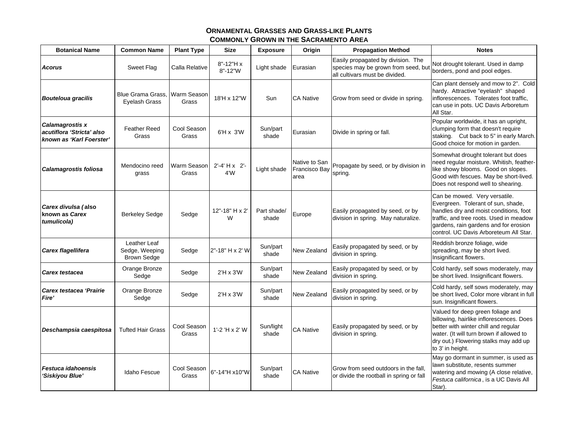| <b>Botanical Name</b>                                                    | <b>Common Name</b>                                   | <b>Plant Type</b>    | <b>Size</b>                   | <b>Exposure</b>      | Origin                                        | <b>Propagation Method</b>                                                                                   | <b>Notes</b>                                                                                                                                                                                                                                |
|--------------------------------------------------------------------------|------------------------------------------------------|----------------------|-------------------------------|----------------------|-----------------------------------------------|-------------------------------------------------------------------------------------------------------------|---------------------------------------------------------------------------------------------------------------------------------------------------------------------------------------------------------------------------------------------|
| <b>Acorus</b>                                                            | Sweet Flag                                           | Calla Relative       | $8" - 12" H x$<br>$8" - 12"W$ | Light shade          | Eurasian                                      | Easily propagated by division. The<br>species may be grown from seed, but<br>all cultivars must be divided. | Not drought tolerant. Used in damp<br>borders, pond and pool edges.                                                                                                                                                                         |
| <b>Bouteloua gracilis</b>                                                | Blue Grama Grass.<br><b>Eyelash Grass</b>            | Warm Season<br>Grass | 18'H x 12"W                   | Sun                  | <b>CA Native</b>                              | Grow from seed or divide in spring.                                                                         | Can plant densely and mow to 2". Cold<br>hardy. Attractive "eyelash" shaped<br>inflorescences. Tolerates foot traffic,<br>can use in pots. UC Davis Arboretum<br>All Star.                                                                  |
| Calamagrostis x<br>acutiflora 'Stricta' also<br>known as 'Karl Foerster' | <b>Feather Reed</b><br>Grass                         | Cool Season<br>Grass | 6'H x 3'W                     | Sun/part<br>shade    | Eurasian                                      | Divide in spring or fall.                                                                                   | Popular worldwide, it has an upright,<br>clumping form that doesn't require<br>staking. Cut back to 5" in early March.<br>Good choice for motion in garden.                                                                                 |
| Calamagrostis foliosa                                                    | Mendocino reed<br>grass                              | Warm Season<br>Grass | $2' - 4' + x$ 2'-<br>4W       | Light shade          | Native to San<br><b>Francisco Bay</b><br>area | Propagate by seed, or by division in<br>spring.                                                             | Somewhat drought tolerant but does<br>need regular moisture. Whitish, feather-<br>like showy blooms. Good on slopes.<br>Good with fescues. May be short-lived.<br>Does not respond well to shearing.                                        |
| Carex divulsa (also<br>known as Carex<br>tumulicola)                     | <b>Berkeley Sedge</b>                                | Sedge                | 12"-18" H x 2"<br>W           | Part shade/<br>shade | Europe                                        | Easily propagated by seed, or by<br>division in spring. May naturalize.                                     | Can be mowed. Very versatile.<br>Evergreen. Tolerant of sun, shade,<br>handles dry and moist conditions, foot<br>traffic, and tree roots. Used in meadow<br>gardens, rain gardens and for erosion<br>control. UC Davis Arboreteum All Star. |
| Carex flagellifera                                                       | Leather Leaf<br>Sedge, Weeping<br><b>Brown Sedge</b> | Sedge                | 2"-18" H x 2' W               | Sun/part<br>shade    | New Zealand                                   | Easily propagated by seed, or by<br>division in spring.                                                     | Reddish bronze foliage, wide<br>spreading, may be short lived.<br>Insignificant flowers.                                                                                                                                                    |
| Carex testacea                                                           | Orange Bronze<br>Sedge                               | Sedge                | $2'H \times 3'W$              | Sun/part<br>shade    | New Zealand                                   | Easily propagated by seed, or by<br>division in spring.                                                     | Cold hardy, self sows moderately, may<br>be short lived. Insignificant flowers.                                                                                                                                                             |
| Carex testacea 'Prairie<br>Fire'                                         | Orange Bronze<br>Sedge                               | Sedge                | $2'H \times 3'W$              | Sun/part<br>shade    | New Zealand                                   | Easily propagated by seed, or by<br>division in spring.                                                     | Cold hardy, self sows moderately, may<br>be short lived, Color more vibrant in full<br>sun. Insignificant flowers.                                                                                                                          |
| Deschampsia caespitosa                                                   | <b>Tufted Hair Grass</b>                             | Cool Season<br>Grass | 1'-2 'H x 2' W                | Sun/light<br>shade   | <b>CA Native</b>                              | Easily propagated by seed, or by<br>division in spring.                                                     | Valued for deep green foliage and<br>billowing, hairlike inflorescences. Does<br>better with winter chill and regular<br>water. (It will turn brown if allowed to<br>dry out.) Flowering stalks may add up<br>to 3' in height.              |
| Festuca idahoensis<br>'Siskiyou Blue'                                    | Idaho Fescue                                         | Cool Season<br>Grass | 6"-14"H x10"W                 | Sun/part<br>shade    | <b>CA Native</b>                              | Grow from seed outdoors in the fall.<br>or divide the rootball in spring or fall                            | May go dormant in summer, is used as<br>lawn substitute, resents summer<br>watering and mowing (A close relative,<br>Festuca californica, is a UC Davis All<br>Star).                                                                       |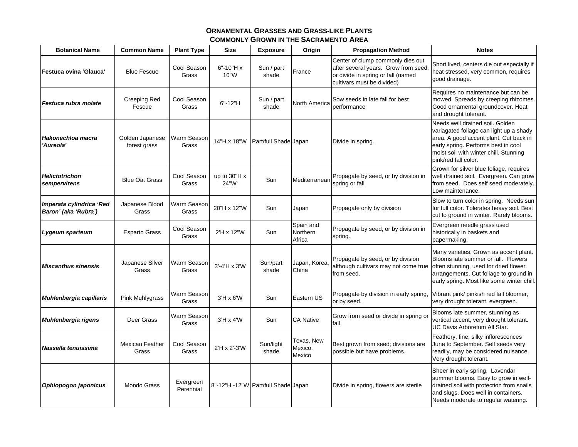| <b>Botanical Name</b>                            | <b>Common Name</b>              | <b>Plant Type</b>      | <b>Size</b>                     | <b>Exposure</b>                     | Origin                          | <b>Propagation Method</b>                                                                                                                    | <b>Notes</b>                                                                                                                                                                                                                  |
|--------------------------------------------------|---------------------------------|------------------------|---------------------------------|-------------------------------------|---------------------------------|----------------------------------------------------------------------------------------------------------------------------------------------|-------------------------------------------------------------------------------------------------------------------------------------------------------------------------------------------------------------------------------|
| Festuca ovina 'Glauca'                           | <b>Blue Fescue</b>              | Cool Season<br>Grass   | $6" - 10" H x$<br>10"W          | Sun / part<br>shade                 | France                          | Center of clump commonly dies out<br>after several years. Grow from seed<br>or divide in spring or fall (named<br>cultivars must be divided) | Short lived, centers die out especially if<br>heat stressed, very common, requires<br>good drainage.                                                                                                                          |
| Festuca rubra molate                             | Creeping Red<br>Fescue          | Cool Season<br>Grass   | $6" - 12"H$                     | Sun / part<br>shade                 | North America                   | Sow seeds in late fall for best<br>performance                                                                                               | Requires no maintenance but can be<br>mowed. Spreads by creeping rhizomes.<br>Good ornamental groundcover. Heat<br>and drought tolerant.                                                                                      |
| Hakonechloa macra<br>'Aureola'                   | Golden Japanese<br>forest grass | Warm Season<br>Grass   | 14"H x 18"W                     | Part/full Shade Japan               |                                 | Divide in spring.                                                                                                                            | Needs well drained soil. Golden<br>variagated foliage can light up a shady<br>area. A good accent plant. Cut back in<br>early spring. Performs best in cool<br>moist soil with winter chill. Stunning<br>pink/red fall color. |
| <b>Helictotrichon</b><br>sempervirens            | <b>Blue Oat Grass</b>           | Cool Season<br>Grass   | up to $30^{\circ}$ H x<br>24"W' | Sun                                 | Mediterranear                   | Propagate by seed, or by division in<br>spring or fall                                                                                       | Grown for silver blue foliage, requires<br>well drained soil. Evergreen. Can grow<br>from seed. Does self seed moderately.<br>Low maintenance.                                                                                |
| Imperata cylindrica 'Red<br>Baron' (aka 'Rubra') | Japanese Blood<br>Grass         | Warm Season<br>Grass   | 20"H x 12"W                     | Sun                                 | Japan                           | Propagate only by division                                                                                                                   | Slow to turn color in spring. Needs sun<br>for full color. Tolerates heavy soil. Best<br>cut to ground in winter. Rarely blooms.                                                                                              |
| Lygeum sparteum                                  | Esparto Grass                   | Cool Season<br>Grass   | 2'H x 12"W                      | Sun                                 | Spain and<br>Northern<br>Africa | Propagate by seed, or by division in<br>spring.                                                                                              | Evergreen needle grass used<br>historically in baskets and<br>papermaking.                                                                                                                                                    |
| <b>Miscanthus sinensis</b>                       | Japanese Silver<br>Grass        | Warm Season<br>Grass   | $3'-4'$ H x $3'W$               | Sun/part<br>shade                   | Japan, Korea,<br>China          | Propagate by seed, or by division<br>although cultivars may not come true<br>from seed.                                                      | Many varieties. Grown as accent plant.<br>Blooms late summer or fall. Flowers<br>often stunning, used for dried flower<br>arrangements. Cut foliage to ground in<br>early spring. Most like some winter chill.                |
| Muhlenbergia capillaris                          | Pink Muhlygrass                 | Warm Season<br>Grass   | $3'H \times 6'W$                | Sun                                 | Eastern US                      | Propagate by division in early spring<br>or by seed.                                                                                         | Vibrant pink/ pinkish red fall bloomer,<br>very drought tolerant, evergreen.                                                                                                                                                  |
| Muhlenbergia rigens                              | Deer Grass                      | Warm Season<br>Grass   | $3'H \times 4'W$                | Sun                                 | <b>CA Native</b>                | Grow from seed or divide in spring or<br>fall.                                                                                               | Blooms late summer, stunning as<br>vertical accent, very drought tolerant.<br>UC Davis Arboretum All Star.                                                                                                                    |
| Nassella tenuissima                              | Mexican Feather<br>Grass        | Cool Season<br>Grass   | 2'H x 2'-3'W                    | Sun/light<br>shade                  | Texas, New<br>Mexico,<br>Mexico | Best grown from seed; divisions are<br>possible but have problems.                                                                           | Feathery, fine, silky inflorescences<br>June to September. Self seeds very<br>readily, may be considered nuisance.<br>Very drought tolerant.                                                                                  |
| Ophiopogon japonicus                             | Mondo Grass                     | Evergreen<br>Perennial |                                 | 8"-12"H -12"W Part/full Shade Japan |                                 | Divide in spring, flowers are sterile                                                                                                        | Sheer in early spring. Lavendar<br>summer blooms. Easy to grow in well-<br>drained soil with protection from snails<br>and slugs. Does well in containers.<br>Needs moderate to regular watering.                             |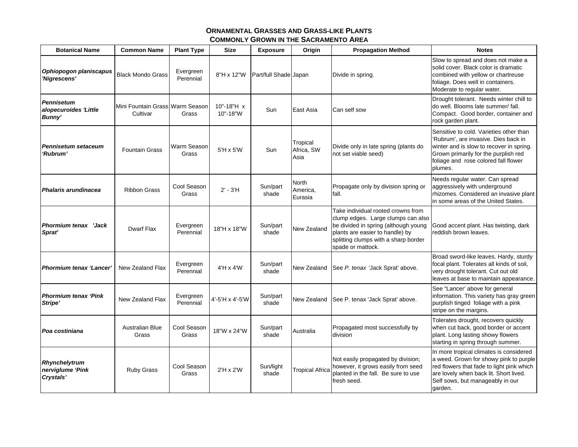| <b>Botanical Name</b>                                | <b>Common Name</b>                          | <b>Plant Type</b>      | <b>Size</b>            | <b>Exposure</b>       | Origin                              | <b>Propagation Method</b>                                                                                                                                                                                        | <b>Notes</b>                                                                                                                                                                                                            |
|------------------------------------------------------|---------------------------------------------|------------------------|------------------------|-----------------------|-------------------------------------|------------------------------------------------------------------------------------------------------------------------------------------------------------------------------------------------------------------|-------------------------------------------------------------------------------------------------------------------------------------------------------------------------------------------------------------------------|
| Ophiopogon planiscapus<br>'Nigrescens'               | <b>Black Mondo Grass</b>                    | Evergreen<br>Perennial | 8"H x 12"W             | Part/full Shade Japan |                                     | Divide in spring.                                                                                                                                                                                                | Slow to spread and does not make a<br>solid cover. Black color is dramatic<br>combined with yellow or chartreuse<br>foliage. Does well in containers.<br>Moderate to regular water.                                     |
| <b>Pennisetum</b><br>alopecuroides 'Little<br>Bunny' | Mini Fountain Grass Warm Season<br>Cultivar | Grass                  | 10"-18"H x<br>10"-18"W | Sun                   | East Asia                           | Can self sow                                                                                                                                                                                                     | Drought tolerant. Needs winter chill to<br>do well. Blooms late summer/ fall.<br>Compact. Good border, container and<br>rock garden plant.                                                                              |
| <b>Pennisetum setaceum</b><br>'Rubrum'               | <b>Fountain Grass</b>                       | Warm Season<br>Grass   | $5'H \times 5'W$       | Sun                   | Tropical<br>Africa, SW<br>Asia      | Divide only in late spring (plants do<br>not set viable seed)                                                                                                                                                    | Sensitive to cold. Varieties other than<br>'Rubrum', are invasive. Dies back in<br>winter and is slow to recover in spring.<br>Grown primarily for the purplish red<br>foliage and rose colored fall flower<br>plumes.  |
| <b>Phalaris arundinacea</b>                          | <b>Ribbon Grass</b>                         | Cool Season<br>Grass   | $2' - 3'H$             | Sun/part<br>shade     | <b>North</b><br>America,<br>Eurasia | Propagate only by division spring or<br>fall.                                                                                                                                                                    | Needs regular water. Can spread<br>aggressively with underground<br>rhizomes. Considered an invasive plant<br>in some areas of the United States.                                                                       |
| <b>Phormium tenax 'Jack</b><br>Sprat'                | <b>Dwarf Flax</b>                           | Evergreen<br>Perennial | 18"H x 18"W            | Sun/part<br>shade     | <b>New Zealand</b>                  | Take individual rooted crowns from<br>clump edges. Large clumps can also<br>be divided in spring (although young<br>plants are easier to handle) by<br>splitting clumps with a sharp border<br>spade or mattock. | Good accent plant. Has twisting, dark<br>reddish brown leaves.                                                                                                                                                          |
| <b>Phormium tenax 'Lancer'</b>                       | New Zealand Flax                            | Evergreen<br>Perennial | $4'H \times 4'W$       | Sun/part<br>shade     | New Zealand                         | See P. tenax 'Jack Sprat' above.                                                                                                                                                                                 | Broad sword-like leaves. Hardy, sturdy<br>focal plant. Tolerates all kinds of soil,<br>very drought tolerant. Cut out old<br>leaves at base to maintain appearance.                                                     |
| <b>Phormium tenax 'Pink</b><br>Stripe'               | <b>New Zealand Flax</b>                     | Evergreen<br>Perennial | 4'-5'H x 4'-5'W        | Sun/part<br>shade     | New Zealand                         | See P. tenax 'Jack Sprat' above.                                                                                                                                                                                 | See "Lancer' above for general<br>information. This variety has gray green<br>purplish tinged foliage with a pink<br>stripe on the margins.                                                                             |
| Poa costiniana                                       | <b>Australian Blue</b><br>Grass             | Cool Season<br>Grass   | 18"W x 24"W            | Sun/part<br>shade     | Australia                           | Propagated most successfully by<br>division                                                                                                                                                                      | Tolerates drought, recovers quickly<br>when cut back, good border or accent<br>plant. Long lasting showy flowers<br>starting in spring through summer.                                                                  |
| Rhynchelytrum<br>nerviglume 'Pink<br>Crystals'       | Ruby Grass                                  | Cool Season<br>Grass   | $2'H \times 2'W$       | Sun/light<br>shade    | <b>Tropical Africa</b>              | Not easily propagated by division;<br>however, it grows easily from seed<br>planted in the fall. Be sure to use<br>fresh seed.                                                                                   | In more tropical climates is considered<br>a weed. Grown for showy pink to purple<br>red flowers that fade to light pink which<br>are lovely when back lit. Short lived.<br>Self sows, but manageably in our<br>garden. |